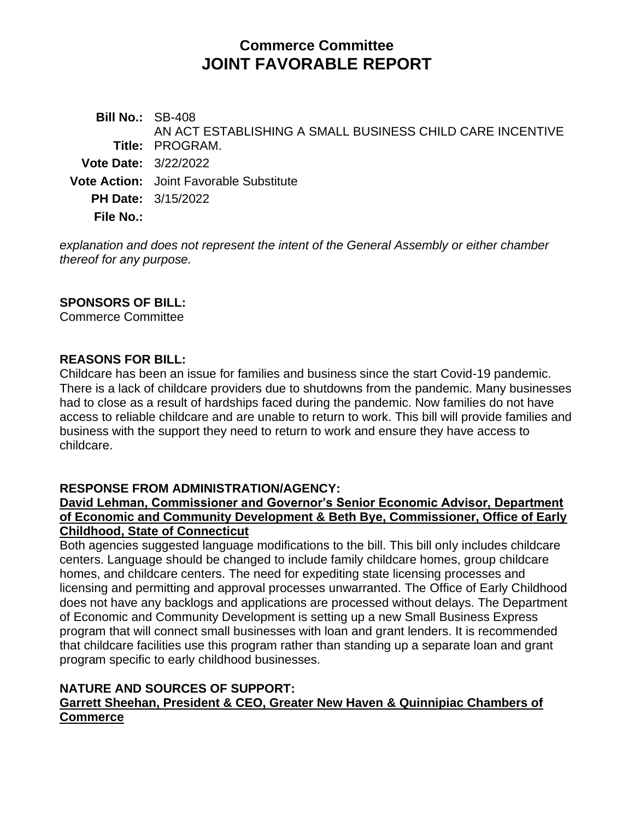## **Commerce Committee JOINT FAVORABLE REPORT**

**Bill No.:** SB-408 **Title:** PROGRAM. AN ACT ESTABLISHING A SMALL BUSINESS CHILD CARE INCENTIVE **Vote Date:** 3/22/2022 **Vote Action:** Joint Favorable Substitute **PH Date:** 3/15/2022 **File No.:**

*explanation and does not represent the intent of the General Assembly or either chamber thereof for any purpose.*

### **SPONSORS OF BILL:**

Commerce Committee

#### **REASONS FOR BILL:**

Childcare has been an issue for families and business since the start Covid-19 pandemic. There is a lack of childcare providers due to shutdowns from the pandemic. Many businesses had to close as a result of hardships faced during the pandemic. Now families do not have access to reliable childcare and are unable to return to work. This bill will provide families and business with the support they need to return to work and ensure they have access to childcare.

#### **RESPONSE FROM ADMINISTRATION/AGENCY:**

#### **David Lehman, Commissioner and Governor's Senior Economic Advisor, Department of Economic and Community Development & Beth Bye, Commissioner, Office of Early Childhood, State of Connecticut**

Both agencies suggested language modifications to the bill. This bill only includes childcare centers. Language should be changed to include family childcare homes, group childcare homes, and childcare centers. The need for expediting state licensing processes and licensing and permitting and approval processes unwarranted. The Office of Early Childhood does not have any backlogs and applications are processed without delays. The Department of Economic and Community Development is setting up a new Small Business Express program that will connect small businesses with loan and grant lenders. It is recommended that childcare facilities use this program rather than standing up a separate loan and grant program specific to early childhood businesses.

#### **NATURE AND SOURCES OF SUPPORT: Garrett Sheehan, President & CEO, Greater New Haven & Quinnipiac Chambers of Commerce**